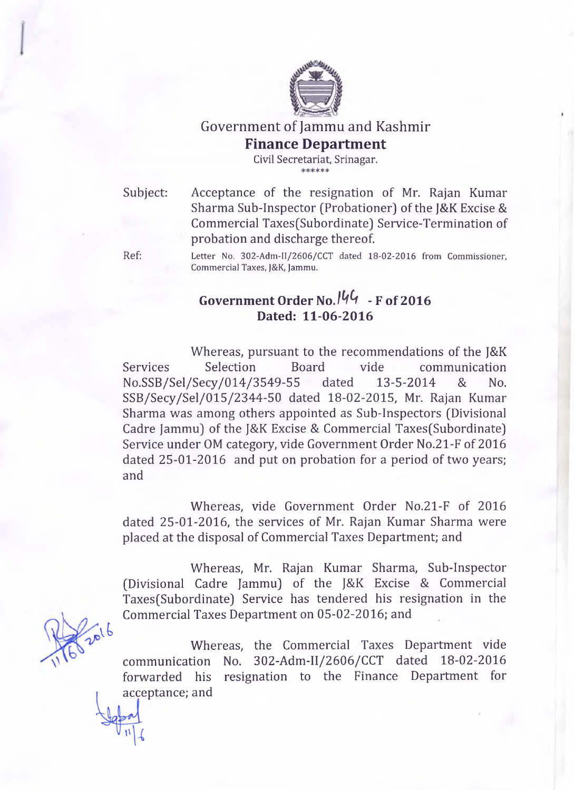

Government of Jammu and Kashmir **Finance Department**

**Civil Secretariat, Srinagar.** sjc s|e s|e sfc

Subject: Acceptance of the resignation of Mr. Rajan Kumar Sharma Sub-Inspector (Probationer) of the J&K Excise & Commercial Taxes(Subordinate) Service-Termination of probation and discharge thereof.

**Ref: Letter No. 302-Adm-II/2606/CCT dated 18-02-2016 from Commissioner, Commercial Taxes, J&K, Jammu.**

## Government Order No. <sup>144</sup> - F of 2016 **Dated: 11-06-2016**

Whereas, pursuant to the recommendations of the J&K Services Selection Board vide communication No.SSB/Sel/Secy/014/3549-55 dated 13-5-2014 & No. SSB/Secy/Sel/015/2344-50 dated 18-02-2015, Mr. Rajan Kumar Sharma was among others appointed as Sub-Inspectors (Divisional Cadre Jammu) of the J&K Excise & Commercial Taxes(Subordinate) Service under OM category, vide Government Order No.21-F of 2016 dated 25-01-2016 and put on probation for a period of two years; and

Whereas, vide Government Order No.21-F of 2016 dated 25-01-2016, the services of Mr. Rajan Kumar Sharma were placed at the disposal of Commercial Taxes Department; and

Whereas, Mr. Rajan Kumar Sharma, Sub-Inspector (Divisional Cadre Jammu) of the J&K Excise & Commercial Taxes(Subordinate) Service has tendered his resignation in the Commercial Taxes Department on 05-02-2016; and

Whereas, the Commercial Taxes Department vide communication No. 302-Adm-II/2606/CCT dated 18-02-2016 forwarded his resignation to the Finance Department for acceptance; and

vt